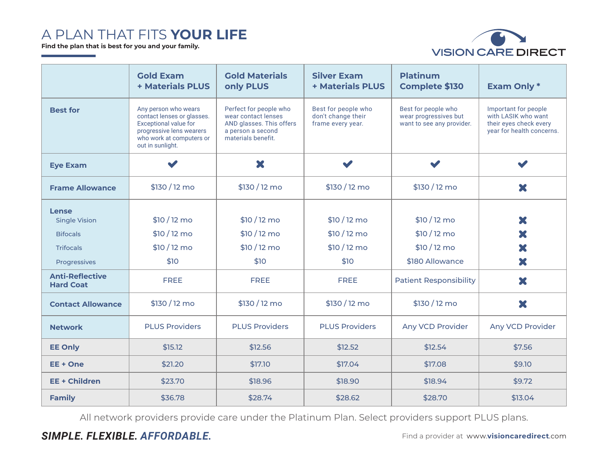## A PLAN THAT FITS **YOUR LIFE**

**Find the plan that is best for you and your family.**



|                                                                                      | <b>Gold Exam</b><br>+ Materials PLUS                                                                                                                           | <b>Gold Materials</b><br>only PLUS                                                                                   | <b>Silver Exam</b><br><b>+ Materials PLUS</b>                  | <b>Platinum</b><br><b>Complete \$130</b>                                  | <b>Exam Only *</b>                                                                                 |  |
|--------------------------------------------------------------------------------------|----------------------------------------------------------------------------------------------------------------------------------------------------------------|----------------------------------------------------------------------------------------------------------------------|----------------------------------------------------------------|---------------------------------------------------------------------------|----------------------------------------------------------------------------------------------------|--|
| <b>Best for</b>                                                                      | Any person who wears<br>contact lenses or glasses.<br><b>Exceptional value for</b><br>progressive lens wearers<br>who work at computers or<br>out in sunlight. | Perfect for people who<br>wear contact lenses<br>AND glasses. This offers<br>a person a second<br>materials benefit. | Best for people who<br>don't change their<br>frame every year. | Best for people who<br>wear progressives but<br>want to see any provider. | Important for people<br>with LASIK who want<br>their eyes check every<br>year for health concerns. |  |
| <b>Eye Exam</b>                                                                      | $\blacktriangledown$                                                                                                                                           | X                                                                                                                    | $\blacktriangleright$                                          |                                                                           | $\blacktriangleright$                                                                              |  |
| <b>Frame Allowance</b>                                                               | \$130/12 mo                                                                                                                                                    | \$130/12 mo                                                                                                          | \$130/12 mo                                                    | \$130/12 mo                                                               | X                                                                                                  |  |
| Lense<br><b>Single Vision</b><br><b>Bifocals</b><br><b>Trifocals</b><br>Progressives | \$10/12 mo<br>\$10/12 mo<br>\$10/12 mo<br>\$10                                                                                                                 | $$10/12$ mo<br>$$10/12$ mo<br>$$10/12$ mo<br>\$10                                                                    | $$10/12$ mo<br>$$10/12$ mo<br>$$10/12$ mo<br>\$10              | $$10/12$ mo<br>$$10/12$ mo<br>\$10/12 mo<br>\$180 Allowance               | X<br>X<br>X<br>X                                                                                   |  |
| <b>Anti-Reflective</b><br><b>Hard Coat</b>                                           | <b>FREE</b>                                                                                                                                                    | <b>FREE</b>                                                                                                          | <b>FREE</b>                                                    | <b>Patient Responsibility</b>                                             | X                                                                                                  |  |
| <b>Contact Allowance</b>                                                             | \$130/12 mo                                                                                                                                                    | \$130/12 mo                                                                                                          | \$130/12 mo                                                    | \$130/12 mo                                                               | ×                                                                                                  |  |
| <b>Network</b>                                                                       | <b>PLUS Providers</b>                                                                                                                                          | <b>PLUS Providers</b>                                                                                                | <b>PLUS Providers</b>                                          | Any VCD Provider                                                          | Any VCD Provider                                                                                   |  |
| <b>EE Only</b>                                                                       | \$15.12                                                                                                                                                        | \$12.56                                                                                                              | \$12.52                                                        | \$12.54                                                                   | \$7.56                                                                                             |  |
| EE + One                                                                             | \$21.20                                                                                                                                                        | \$17.10                                                                                                              | \$17.04                                                        | \$17.08                                                                   | \$9.10                                                                                             |  |
| <b>EE + Children</b>                                                                 | \$23.70                                                                                                                                                        | \$18.96                                                                                                              | \$18.90                                                        | \$18.94                                                                   | \$9.72                                                                                             |  |
| <b>Family</b>                                                                        | \$36.78                                                                                                                                                        | \$28.74                                                                                                              | \$28.62                                                        | \$28.70                                                                   | \$13.04                                                                                            |  |

All network providers provide care under the Platinum Plan. Select providers support PLUS plans.

### **SIMPLE. FLEXIBLE. AFFORDABLE. FILE AREGULARE AND ACCORDED FIND A PROVIder at www.visioncaredirect.com**